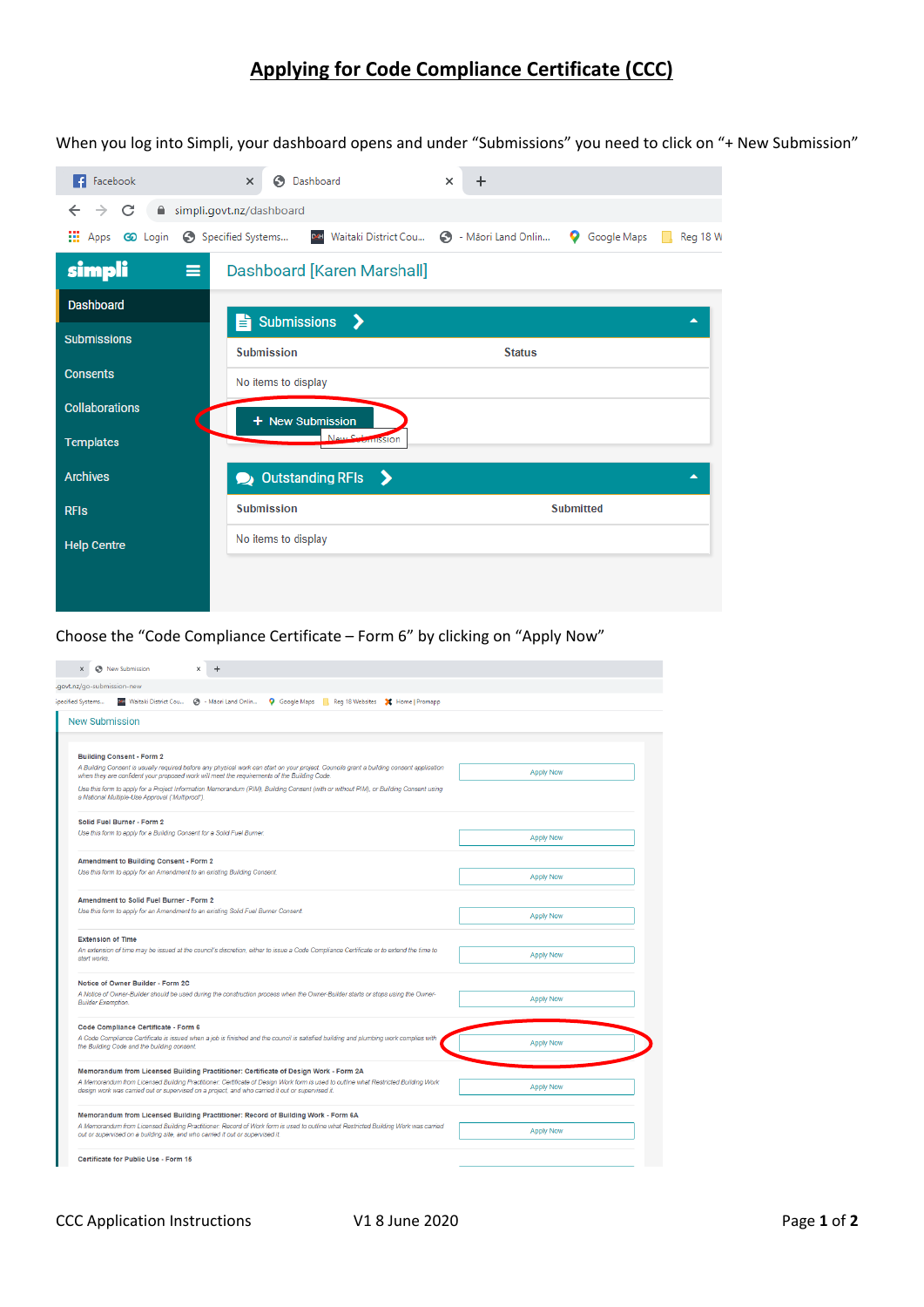## **Applying for Code Compliance Certificate (CCC)**

When you log into Simpli, your dashboard opens and under "Submissions" you need to click on "+ New Submission"

| <b>F</b> Facebook                   | Dashboard<br>G<br>$\times$                               | $\div$<br>×                                     |
|-------------------------------------|----------------------------------------------------------|-------------------------------------------------|
| C<br>←<br>$\theta$<br>$\rightarrow$ | simpli.govt.nz/dashboard                                 |                                                 |
| ш.<br>Apps 60 Login                 | Specified Systems<br>Waitaki District Cou<br><b>DATE</b> | 6 - Māori Land Onlin<br>Google Maps<br>Reg 18 W |
| simpli<br>$\equiv$                  | Dashboard [Karen Marshall]                               |                                                 |
| <b>Dashboard</b>                    | <b>Submissions</b><br>ゝ<br>È                             | ▲                                               |
| <b>Submissions</b>                  | <b>Submission</b>                                        | <b>Status</b>                                   |
| <b>Consents</b>                     | No items to display                                      |                                                 |
| <b>Collaborations</b>               | + New Submission                                         |                                                 |
| <b>Templates</b>                    | New Submission                                           |                                                 |
| <b>Archives</b>                     | <b>Outstanding RFIs</b><br>-><br>$\bullet$               | ▲                                               |
| <b>RFIS</b>                         | <b>Submission</b>                                        | <b>Submitted</b>                                |
| <b>Help Centre</b>                  | No items to display                                      |                                                 |
|                                     |                                                          |                                                 |
|                                     |                                                          |                                                 |

Choose the "Code Compliance Certificate – Form 6" by clicking on "Apply Now"

| S New Submission<br>$\times$<br>$\times$                                          | $\ddot{}$                                                                                                                                                                                                                              |                  |
|-----------------------------------------------------------------------------------|----------------------------------------------------------------------------------------------------------------------------------------------------------------------------------------------------------------------------------------|------------------|
| govt.nz/go-submission-new                                                         |                                                                                                                                                                                                                                        |                  |
| pecified Systems<br><b>PM</b> Waitaki District Cou (3) - Maori Land Onlin         | Google Maps Reg 18 Websites X Home   Promapp                                                                                                                                                                                           |                  |
| <b>New Submission</b>                                                             |                                                                                                                                                                                                                                        |                  |
|                                                                                   |                                                                                                                                                                                                                                        |                  |
| <b>Building Consent - Form 2</b>                                                  |                                                                                                                                                                                                                                        |                  |
|                                                                                   | A Building Consent is usually required before any physical work can start on your project. Councils grant a building consent application                                                                                               | <b>Apply Now</b> |
|                                                                                   | when they are confident your proposed work will meet the requirements of the Building Code.<br>Use this form to apply for a Project Information Memorandum (PIM), Building Consent (with or without PIM), or Building Consent using    |                  |
| a National Multiple-Use Approval ('Multiproof').                                  |                                                                                                                                                                                                                                        |                  |
| Solid Fuel Burner - Form 2                                                        |                                                                                                                                                                                                                                        |                  |
| Use this form to apply for a Building Consent for a Solid Fuel Burner.            |                                                                                                                                                                                                                                        | <b>Apply Now</b> |
|                                                                                   |                                                                                                                                                                                                                                        |                  |
| Amendment to Building Consent - Form 2                                            |                                                                                                                                                                                                                                        |                  |
| Use this form to apply for an Amendment to an existing Building Consent.          |                                                                                                                                                                                                                                        | <b>Apply Now</b> |
| <b>Amendment to Solid Fuel Burner - Form 2</b>                                    |                                                                                                                                                                                                                                        |                  |
| Use this form to apply for an Amendment to an existing Solid Fuel Burner Consent. |                                                                                                                                                                                                                                        | <b>Apply Now</b> |
|                                                                                   |                                                                                                                                                                                                                                        |                  |
| <b>Extension of Time</b>                                                          | An extension of time may be issued at the council's discretion, either to issue a Code Compliance Certificate or to extend the time to                                                                                                 |                  |
| start works.                                                                      |                                                                                                                                                                                                                                        | <b>Apply Now</b> |
| Notice of Owner Builder - Form 2C                                                 |                                                                                                                                                                                                                                        |                  |
|                                                                                   | A Notice of Owner-Builder should be used during the construction process when the Owner-Builder starts or stops using the Owner-                                                                                                       | <b>Apply Now</b> |
| <b>Builder Exemption.</b>                                                         |                                                                                                                                                                                                                                        |                  |
| Code Compliance Certificate - Form 6                                              |                                                                                                                                                                                                                                        |                  |
| the Building Code and the building consent.                                       | A Code Compliance Certificate is issued when a job is finished and the council is satisfied building and plumbing work complies with                                                                                                   | <b>Apply Now</b> |
|                                                                                   |                                                                                                                                                                                                                                        |                  |
|                                                                                   | Memorandum from Licensed Building Practitioner: Certificate of Design Work - Form 2A                                                                                                                                                   |                  |
|                                                                                   | A Memorandum from Licensed Building Practitioner: Certificate of Design Work form is used to outline what Restricted Building Work<br>design work was carried out or supervised on a project, and who carried it out or supervised it. | <b>Apply Now</b> |
|                                                                                   |                                                                                                                                                                                                                                        |                  |
|                                                                                   | Memorandum from Licensed Building Practitioner: Record of Building Work - Form 6A<br>A Memorandum from Licensed Building Practitioner: Record of Work form is used to outline what Restricted Building Work was carried                |                  |
| out or supervised on a building site, and who carried it out or supervised it.    |                                                                                                                                                                                                                                        | <b>Apply Now</b> |
| Certificate for Public Use - Form 15                                              |                                                                                                                                                                                                                                        |                  |
|                                                                                   |                                                                                                                                                                                                                                        |                  |